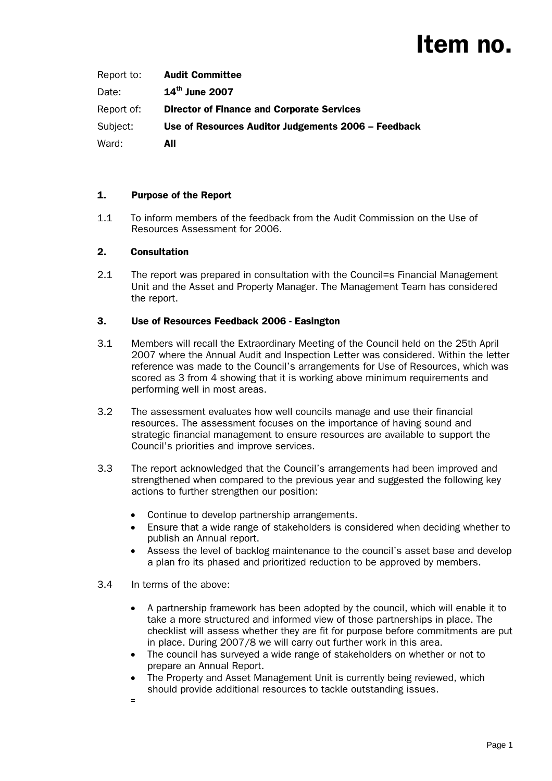# Item no.

| Report to: | <b>Audit Committee</b>                              |
|------------|-----------------------------------------------------|
| Date:      | $14^{th}$ June 2007                                 |
| Report of: | <b>Director of Finance and Corporate Services</b>   |
| Subject:   | Use of Resources Auditor Judgements 2006 – Feedback |
| Ward:      | All                                                 |

### 1. Purpose of the Report

1.1 To inform members of the feedback from the Audit Commission on the Use of Resources Assessment for 2006.

## 2. Consultation

2.1 The report was prepared in consultation with the Council=s Financial Management Unit and the Asset and Property Manager. The Management Team has considered the report.

## 3. Use of Resources Feedback 2006 - Easington

- 3.1 Members will recall the Extraordinary Meeting of the Council held on the 25th April 2007 where the Annual Audit and Inspection Letter was considered. Within the letter reference was made to the Council's arrangements for Use of Resources, which was scored as 3 from 4 showing that it is working above minimum requirements and performing well in most areas.
- 3.2 The assessment evaluates how well councils manage and use their financial resources. The assessment focuses on the importance of having sound and strategic financial management to ensure resources are available to support the Council's priorities and improve services.
- 3.3 The report acknowledged that the Council's arrangements had been improved and strengthened when compared to the previous year and suggested the following key actions to further strengthen our position:
	- Continue to develop partnership arrangements.
	- Ensure that a wide range of stakeholders is considered when deciding whether to publish an Annual report.
	- Assess the level of backlog maintenance to the council's asset base and develop a plan fro its phased and prioritized reduction to be approved by members.
- 3.4 In terms of the above:
	- A partnership framework has been adopted by the council, which will enable it to take a more structured and informed view of those partnerships in place. The checklist will assess whether they are fit for purpose before commitments are put in place. During 2007/8 we will carry out further work in this area.
	- The council has surveyed a wide range of stakeholders on whether or not to prepare an Annual Report.
	- The Property and Asset Management Unit is currently being reviewed, which should provide additional resources to tackle outstanding issues.
	- *=*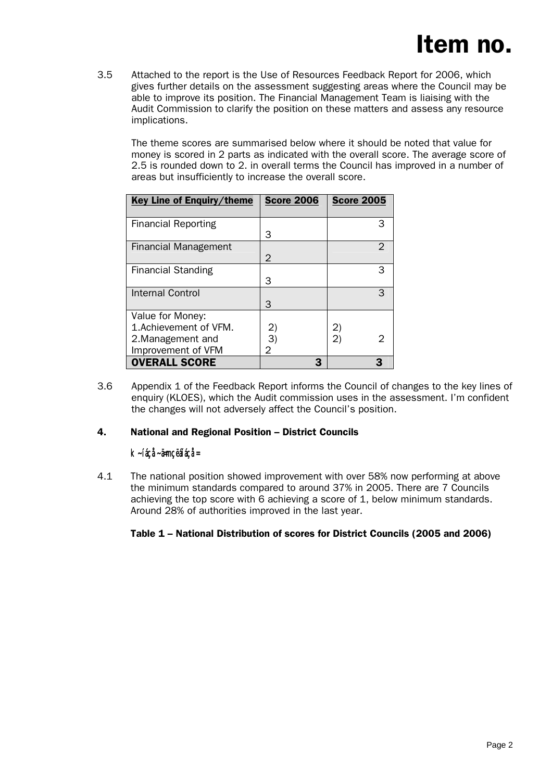3.5 Attached to the report is the Use of Resources Feedback Report for 2006, which gives further details on the assessment suggesting areas where the Council may be able to improve its position. The Financial Management Team is liaising with the Audit Commission to clarify the position on these matters and assess any resource implications.

The theme scores are summarised below where it should be noted that value for money is scored in 2 parts as indicated with the overall score. The average score of 2.5 is rounded down to 2. in overall terms the Council has improved in a number of areas but insufficiently to increase the overall score.

| Key Line of Enguiry/theme                                                             | <b>Score 2006</b>       | <b>Score 2005</b>  |
|---------------------------------------------------------------------------------------|-------------------------|--------------------|
| <b>Financial Reporting</b>                                                            | З                       | 3                  |
| Financial Management                                                                  | 2                       | 2                  |
| <b>Financial Standing</b>                                                             | З                       | 3                  |
| Internal Control                                                                      | З                       |                    |
| Value for Money:<br>1. Achievement of VFM.<br>2. Management and<br>Improvement of VFM | $\mathbf{2}$<br>3)<br>2 | 2)<br>$\mathbf{2}$ |
| <b>OVERALL SCORE</b>                                                                  |                         |                    |

3.6 Appendix 1 of the Feedback Report informs the Council of changes to the key lines of enquiry (KLOES), which the Audit commission uses in the assessment. I'm confident the changes will not adversely affect the Council's position.

### 4. National and Regional Position – District Councils

### *k~íáçå~ä=mçëáíáçå=*

4.1 The national position showed improvement with over 58% now performing at above the minimum standards compared to around 37% in 2005. There are 7 Councils achieving the top score with 6 achieving a score of 1, below minimum standards. Around 28% of authorities improved in the last year.

## Table 1 – National Distribution of scores for District Councils (2005 and 2006)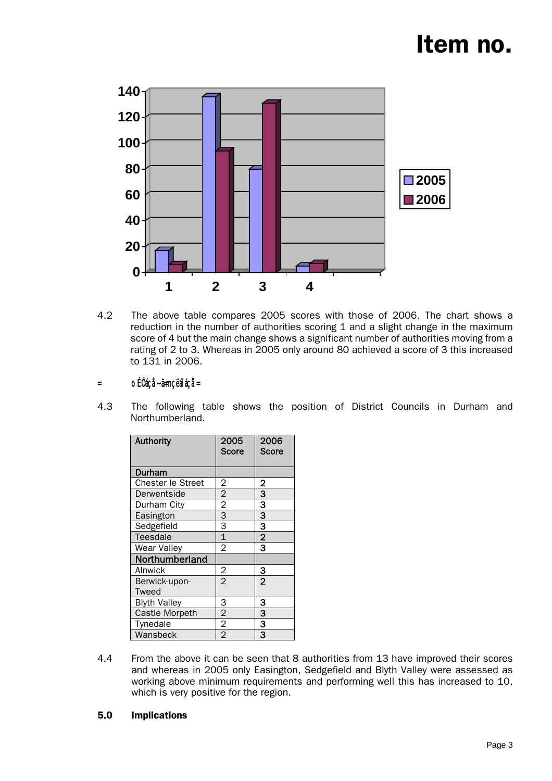# Item no.



4.2 The above table compares 2005 scores with those of 2006. The chart shows a reduction in the number of authorities scoring 1 and a slight change in the maximum score of 4 but the main change shows a significant number of authorities moving from a rating of 2 to 3. Whereas in 2005 only around 80 achieved a score of 3 this increased to 131 in 2006.

### *= oÉÖáçå~ä=mçëáíáçå=*

4.3 The following table shows the position of District Councils in Durham and Northumberland.

| <b>Authority</b>    | 2005<br>Score  | 2006<br>Score  |
|---------------------|----------------|----------------|
| Durham              |                |                |
| Chester le Street   | 2              | <u>2</u>       |
| Derwentside         | $\overline{c}$ | 3              |
| Durham City         | $\overline{c}$ | 3              |
| Easington           | 3              | 3              |
| Sedgefield          | 3              | 3              |
| <b>Teesdale</b>     | $\overline{1}$ | $\overline{2}$ |
| Wear Valley         | $\overline{2}$ | 3              |
| Northumberland      |                |                |
| Alnwick             | $\overline{2}$ | з              |
| Berwick-upon-       | $\overline{2}$ | $\overline{2}$ |
| Tweed               |                |                |
| <b>Blyth Valley</b> | 3              | з              |
| Castle Morpeth      | $\overline{2}$ | 3              |
| Tynedale            | $\overline{2}$ | 3              |
| Wansbeck            | $\overline{2}$ | 3              |

4.4 From the above it can be seen that 8 authorities from 13 have improved their scores and whereas in 2005 only Easington, Sedgefield and Blyth Valley were assessed as working above minimum requirements and performing well this has increased to 10, which is very positive for the region.

#### 5.0 Implications